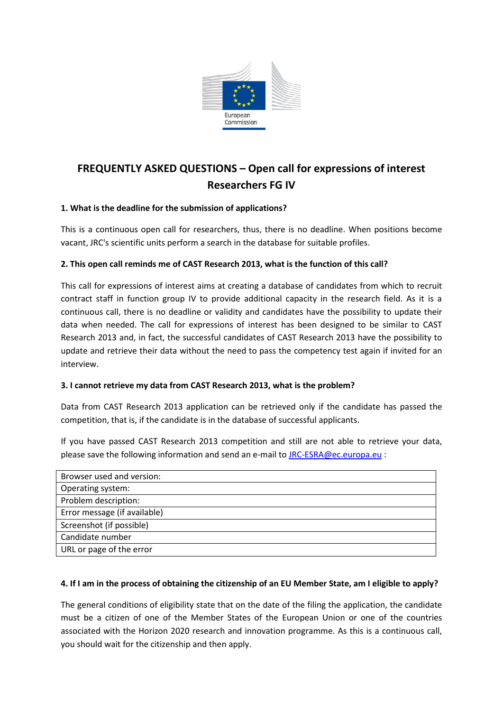

# **FREQUENTLY ASKED QUESTIONS – Open call for expressions of interest Researchers FG IV**

## **1. What is the deadline for the submission of applications?**

This is a continuous open call for researchers, thus, there is no deadline. When positions become vacant, JRC's scientific units perform a search in the database for suitable profiles.

## **2. This open call reminds me of CAST Research 2013, what is the function of this call?**

This call for expressions of interest aims at creating a database of candidates from which to recruit contract staff in function group IV to provide additional capacity in the research field. As it is a continuous call, there is no deadline or validity and candidates have the possibility to update their data when needed. The call for expressions of interest has been designed to be similar to CAST Research 2013 and, in fact, the successful candidates of CAST Research 2013 have the possibility to update and retrieve their data without the need to pass the competency test again if invited for an interview.

#### **3. I cannot retrieve my data from CAST Research 2013, what is the problem?**

Data from CAST Research 2013 application can be retrieved only if the candidate has passed the competition, that is, if the candidate is in the database of successful applicants.

If you have passed CAST Research 2013 competition and still are not able to retrieve your data, please save the following information and send an e-mail to [JRC-ESRA@ec.europa.eu](mailto:JRC-ESRA@ec.europa.eu) :

| Browser used and version:    |
|------------------------------|
| Operating system:            |
| Problem description:         |
| Error message (if available) |
| Screenshot (if possible)     |
| Candidate number             |
| URL or page of the error     |

#### **4. If I am in the process of obtaining the citizenship of an EU Member State, am I eligible to apply?**

The general conditions of eligibility state that on the date of the filing the application, the candidate must be a citizen of one of the Member States of the European Union or one of the countries associated with the Horizon 2020 research and innovation programme. As this is a continuous call, you should wait for the citizenship and then apply.